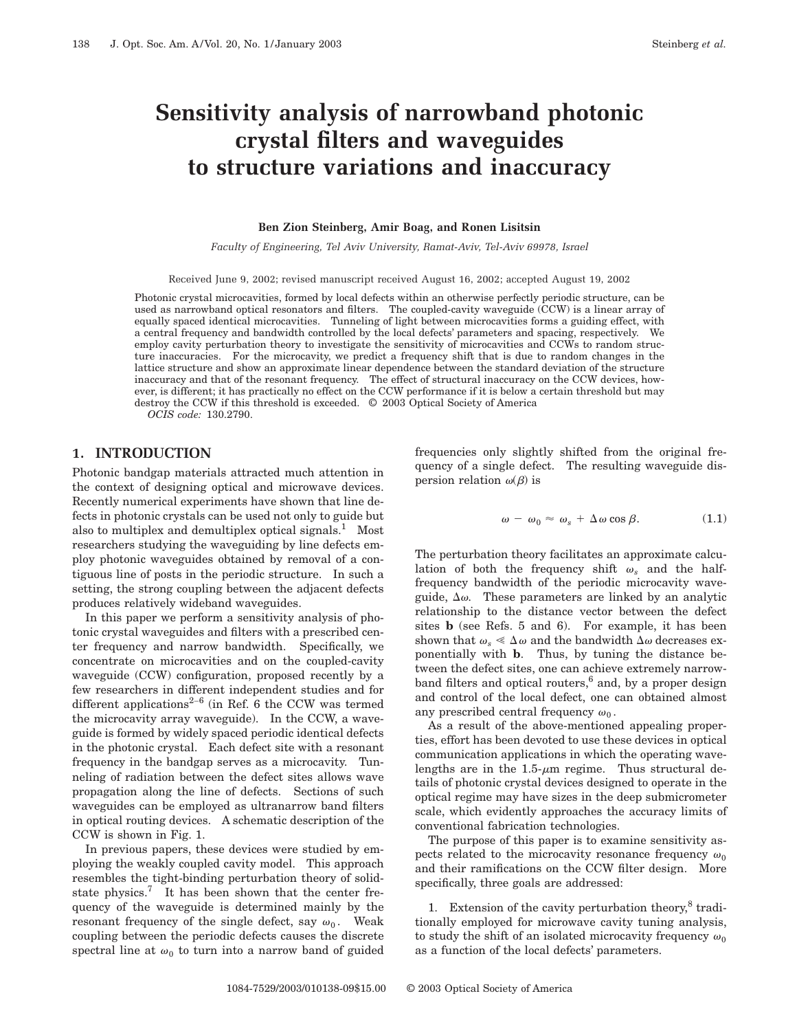# **Sensitivity analysis of narrowband photonic crystal filters and waveguides to structure variations and inaccuracy**

#### **Ben Zion Steinberg, Amir Boag, and Ronen Lisitsin**

*Faculty of Engineering, Tel Aviv University, Ramat-Aviv, Tel-Aviv 69978, Israel*

Received June 9, 2002; revised manuscript received August 16, 2002; accepted August 19, 2002

Photonic crystal microcavities, formed by local defects within an otherwise perfectly periodic structure, can be used as narrowband optical resonators and filters. The coupled-cavity waveguide (CCW) is a linear array of equally spaced identical microcavities. Tunneling of light between microcavities forms a guiding effect, with a central frequency and bandwidth controlled by the local defects' parameters and spacing, respectively. We employ cavity perturbation theory to investigate the sensitivity of microcavities and CCWs to random structure inaccuracies. For the microcavity, we predict a frequency shift that is due to random changes in the lattice structure and show an approximate linear dependence between the standard deviation of the structure inaccuracy and that of the resonant frequency. The effect of structural inaccuracy on the CCW devices, however, is different; it has practically no effect on the CCW performance if it is below a certain threshold but may destroy the CCW if this threshold is exceeded. © 2003 Optical Society of America

*OCIS code:* 130.2790.

#### **1. INTRODUCTION**

Photonic bandgap materials attracted much attention in the context of designing optical and microwave devices. Recently numerical experiments have shown that line defects in photonic crystals can be used not only to guide but also to multiplex and demultiplex optical signals.<sup>1</sup> Most researchers studying the waveguiding by line defects employ photonic waveguides obtained by removal of a contiguous line of posts in the periodic structure. In such a setting, the strong coupling between the adjacent defects produces relatively wideband waveguides.

In this paper we perform a sensitivity analysis of photonic crystal waveguides and filters with a prescribed center frequency and narrow bandwidth. Specifically, we concentrate on microcavities and on the coupled-cavity waveguide (CCW) configuration, proposed recently by a few researchers in different independent studies and for different applications<sup>2-6</sup> (in Ref. 6 the CCW was termed the microcavity array waveguide). In the CCW, a waveguide is formed by widely spaced periodic identical defects in the photonic crystal. Each defect site with a resonant frequency in the bandgap serves as a microcavity. Tunneling of radiation between the defect sites allows wave propagation along the line of defects. Sections of such waveguides can be employed as ultranarrow band filters in optical routing devices. A schematic description of the CCW is shown in Fig. 1.

In previous papers, these devices were studied by employing the weakly coupled cavity model. This approach resembles the tight-binding perturbation theory of solidstate physics. $7$  It has been shown that the center frequency of the waveguide is determined mainly by the resonant frequency of the single defect, say  $\omega_0$ . Weak coupling between the periodic defects causes the discrete spectral line at  $\omega_0$  to turn into a narrow band of guided

frequencies only slightly shifted from the original frequency of a single defect. The resulting waveguide dispersion relation  $\omega(\beta)$  is

$$
\omega - \omega_0 \approx \omega_s + \Delta \omega \cos \beta. \tag{1.1}
$$

The perturbation theory facilitates an approximate calculation of both the frequency shift  $\omega_s$  and the halffrequency bandwidth of the periodic microcavity waveguide,  $\Delta\omega$ . These parameters are linked by an analytic relationship to the distance vector between the defect sites **b** (see Refs. 5 and 6). For example, it has been shown that  $\omega_s \ll \Delta \omega$  and the bandwidth  $\Delta \omega$  decreases exponentially with **b**. Thus, by tuning the distance between the defect sites, one can achieve extremely narrowband filters and optical routers,<sup>6</sup> and, by a proper design and control of the local defect, one can obtained almost any prescribed central frequency  $\omega_0$ .

As a result of the above-mentioned appealing properties, effort has been devoted to use these devices in optical communication applications in which the operating wavelengths are in the  $1.5-\mu m$  regime. Thus structural details of photonic crystal devices designed to operate in the optical regime may have sizes in the deep submicrometer scale, which evidently approaches the accuracy limits of conventional fabrication technologies.

The purpose of this paper is to examine sensitivity aspects related to the microcavity resonance frequency  $\omega_0$ and their ramifications on the CCW filter design. More specifically, three goals are addressed:

1. Extension of the cavity perturbation theory, $8$  traditionally employed for microwave cavity tuning analysis, to study the shift of an isolated microcavity frequency  $\omega_0$ as a function of the local defects' parameters.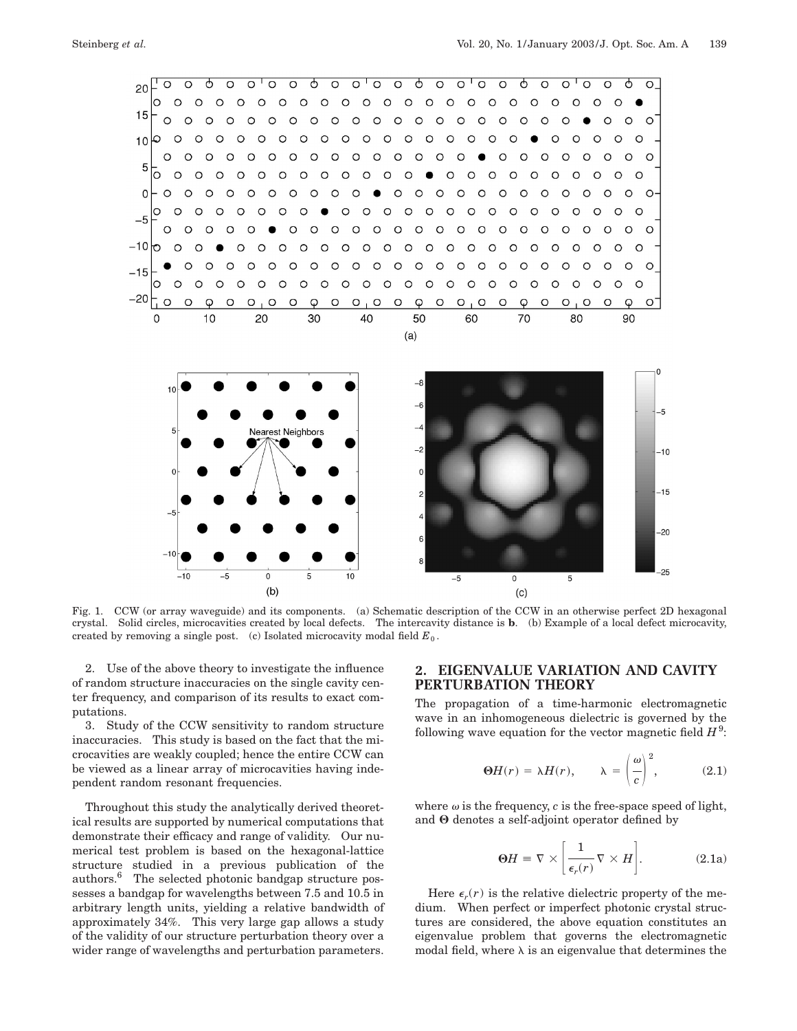

Fig. 1. CCW (or array waveguide) and its components. (a) Schematic description of the CCW in an otherwise perfect 2D hexagonal crystal. Solid circles, microcavities created by local defects. The intercavity distance is **b**. (b) Example of a local defect microcavity, created by removing a single post. (c) Isolated microcavity modal field  $E_0$ .

2. Use of the above theory to investigate the influence of random structure inaccuracies on the single cavity center frequency, and comparison of its results to exact computations.

3. Study of the CCW sensitivity to random structure inaccuracies. This study is based on the fact that the microcavities are weakly coupled; hence the entire CCW can be viewed as a linear array of microcavities having independent random resonant frequencies.

Throughout this study the analytically derived theoretical results are supported by numerical computations that demonstrate their efficacy and range of validity. Our numerical test problem is based on the hexagonal-lattice structure studied in a previous publication of the authors.6 The selected photonic bandgap structure possesses a bandgap for wavelengths between 7.5 and 10.5 in arbitrary length units, yielding a relative bandwidth of approximately 34%. This very large gap allows a study of the validity of our structure perturbation theory over a wider range of wavelengths and perturbation parameters.

## **2. EIGENVALUE VARIATION AND CAVITY PERTURBATION THEORY**

The propagation of a time-harmonic electromagnetic wave in an inhomogeneous dielectric is governed by the following wave equation for the vector magnetic field  $H^9$ :

$$
\Theta H(r) = \lambda H(r), \qquad \lambda = \left(\frac{\omega}{c}\right)^2, \tag{2.1}
$$

where  $\omega$  is the frequency,  $c$  is the free-space speed of light, and  $\Theta$  denotes a self-adjoint operator defined by

$$
\Theta H \equiv \nabla \times \left[ \frac{1}{\epsilon_r(r)} \nabla \times H \right]. \tag{2.1a}
$$

Here  $\epsilon_r(r)$  is the relative dielectric property of the medium. When perfect or imperfect photonic crystal structures are considered, the above equation constitutes an eigenvalue problem that governs the electromagnetic modal field, where  $\lambda$  is an eigenvalue that determines the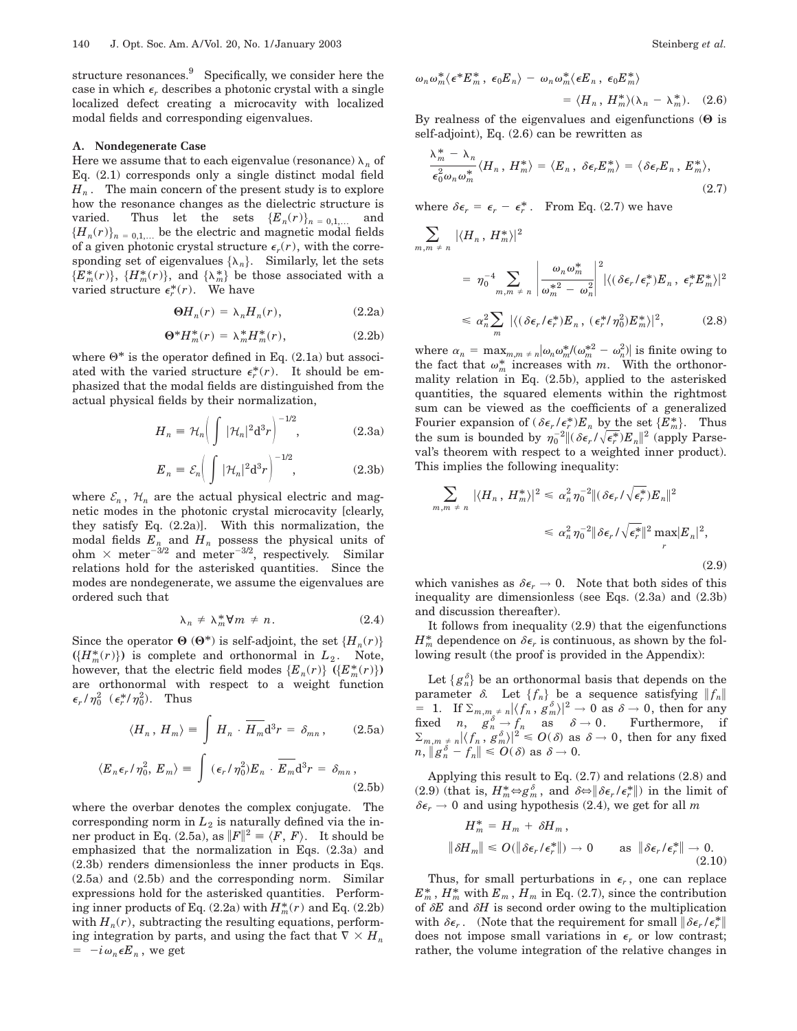structure resonances.<sup>9</sup> Specifically, we consider here the case in which  $\epsilon_r$  describes a photonic crystal with a single localized defect creating a microcavity with localized modal fields and corresponding eigenvalues.

#### **A. Nondegenerate Case**

Here we assume that to each eigenvalue (resonance)  $\lambda_n$  of Eq. (2.1) corresponds only a single distinct modal field  $H_n$ . The main concern of the present study is to explore how the resonance changes as the dielectric structure is varied. Thus let the sets  ${E_n(r)}_{n=0,1,...}$  and  ${H_n(r)}_{n=0,1,...}$  be the electric and magnetic modal fields of a given photonic crystal structure  $\epsilon_r(r)$ , with the corresponding set of eigenvalues  $\{\lambda_n\}$ . Similarly, let the sets  ${E_m^*(r)}$ ,  ${H_m^*(r)}$ , and  ${\lambda_m^*}$  be those associated with a varied structure  $\epsilon_r^*(r)$ . We have

$$
\Theta H_n(r) = \lambda_n H_n(r), \qquad (2.2a)
$$

$$
\Theta^* H_m^*(r) = \lambda_m^* H_m^*(r),\tag{2.2b}
$$

where  $\Theta^*$  is the operator defined in Eq. (2.1a) but associated with the varied structure  $\epsilon_r^*(r)$ . It should be emphasized that the modal fields are distinguished from the actual physical fields by their normalization,

$$
H_n = \mathcal{H}_n \bigg( \int |\mathcal{H}_n|^2 \mathrm{d}^3 r \bigg)^{-1/2}, \tag{2.3a}
$$

$$
E_n \equiv \mathcal{E}_n \bigg( \int |\mathcal{H}_n|^2 \mathrm{d}^3 r \bigg)^{-1/2}, \tag{2.3b}
$$

where  $\mathcal{E}_n$ ,  $\mathcal{H}_n$  are the actual physical electric and magnetic modes in the photonic crystal microcavity [clearly, they satisfy Eq. (2.2a)]. With this normalization, the modal fields  $E_n$  and  $H_n$  possess the physical units of ohm  $\times$  meter<sup>-3/2</sup> and meter<sup>-3/2</sup>, respectively. Similar relations hold for the asterisked quantities. Since the modes are nondegenerate, we assume the eigenvalues are ordered such that

$$
\lambda_n \neq \lambda_m^* \forall m \neq n. \tag{2.4}
$$

Since the operator  $\Theta$  ( $\Theta^*$ ) is self-adjoint, the set  $\{H_n(r)\}$  $(\{H_m^*(r)\})$  is complete and orthonormal in  $L_2$ . Note, however, that the electric field modes  $\{E_n(r)\}\ ( \{E_m^*(r)\})$ are orthonormal with respect to a weight function  $\epsilon_r/\eta_0^2$  ( $\epsilon_r^*/\eta_0^2$ ). Thus

$$
\langle H_n, H_m \rangle \equiv \int H_n \cdot \overline{H_m} \mathrm{d}^3 r = \delta_{mn}, \qquad (2.5a)
$$

$$
\langle E_n \epsilon_r / \eta_0^2, E_m \rangle \equiv \int \left( \epsilon_r / \eta_0^2 \right) E_n \cdot \overline{E_m} d^3 r = \delta_{mn}, \tag{2.5b}
$$

where the overbar denotes the complex conjugate. The corresponding norm in  $L_2$  is naturally defined via the inner product in Eq. (2.5a), as  $||F||^2 = \langle F, F \rangle$ . It should be emphasized that the normalization in Eqs. (2.3a) and (2.3b) renders dimensionless the inner products in Eqs. (2.5a) and (2.5b) and the corresponding norm. Similar expressions hold for the asterisked quantities. Performing inner products of Eq.  $(2.2a)$  with  $H_m^*(r)$  and Eq.  $(2.2b)$ with  $H_n(r)$ , subtracting the resulting equations, performing integration by parts, and using the fact that  $\nabla \times H_n$  $= -i\omega_n \epsilon E_n$ , we get

$$
\omega_n \omega_m^* \langle \epsilon^* E_m^* , \epsilon_0 E_n \rangle - \omega_n \omega_m^* \langle \epsilon E_n , \epsilon_0 E_m^* \rangle
$$
  
= 
$$
\langle H_n , H_m^* \rangle (\lambda_n - \lambda_m^* ).
$$
 (2.6)

By realness of the eigenvalues and eigenfunctions  $(\Theta)$  is self-adjoint), Eq. (2.6) can be rewritten as

$$
\frac{\lambda_m^* - \lambda_n}{\epsilon_0^2 \omega_n \omega_m^*} \langle H_n, H_m^* \rangle = \langle E_n, \delta \epsilon_r E_m^* \rangle = \langle \delta \epsilon_r E_n, E_m^* \rangle,
$$
\n(2.7)

where  $\delta \epsilon_r = \epsilon_r - \epsilon_r^*$ . From Eq. (2.7) we have

$$
\sum_{m,m \atop m \text{ odd}} |\langle H_n, H_m^* \rangle|^2
$$
\n
$$
= \eta_0^{-4} \sum_{m,m \atop m \text{ odd}} \left| \frac{\omega_n \omega_m^*}{\omega_m^{*2} - \omega_n^2} \right|^2 |\langle (\delta \epsilon_r / \epsilon_r^*) E_n, \epsilon_r^* E_m^* \rangle|^2
$$
\n
$$
\leq \alpha_n^2 \sum_m |\langle (\delta \epsilon_r / \epsilon_r^*) E_n, (\epsilon_r^* / \eta_0^2) E_m^* \rangle|^2, \qquad (2.8)
$$

where  $\alpha_n = \max_{m,m \text{ } \neq \text{ } n} |\omega_n \omega_m^* / (\omega_m^{*2} - \omega_n^2)|$  is finite owing to the fact that  $\omega_m^*$  increases with *m*. With the orthonormality relation in Eq. (2.5b), applied to the asterisked quantities, the squared elements within the rightmost sum can be viewed as the coefficients of a generalized Fourier expansion of  $(\delta \epsilon_r / \epsilon_r^*) E_n$  by the set  $\{E_m^*\}$ . Thus the sum is bounded by  $\eta_0^{-2} \| (\delta \epsilon_r / \sqrt{\epsilon_r^*}) E_n \|^2$  (apply Parseval's theorem with respect to a weighted inner product). This implies the following inequality:

$$
\sum_{m,m \atop m \neq n} |\langle H_n, H_m^* \rangle|^2 \leq \alpha_n^2 \eta_0^{-2} \| (\delta \epsilon_r / \sqrt{\epsilon_r^*}) E_n \|^2
$$
  

$$
\leq \alpha_n^2 \eta_0^{-2} \| \delta \epsilon_r / \sqrt{\epsilon_r^*} \|^2 \max_r |E_n|^2,
$$
  
(2.9)

which vanishes as  $\delta \epsilon_r \rightarrow 0$ . Note that both sides of this inequality are dimensionless (see Eqs. (2.3a) and (2.3b) and discussion thereafter).

It follows from inequality (2.9) that the eigenfunctions  $H_m^*$  dependence on  $\delta \epsilon_r$  is continuous, as shown by the following result (the proof is provided in the Appendix):

Let  $\{g_n^{\delta}\}$  be an orthonormal basis that depends on the parameter  $\delta$ . Let  $\{f_n\}$  be a sequence satisfying  $||f_n||$  $= 1$ . If  $\sum_{m,m_{s} \neq n} |\langle f_{n}, g_{m}^{\delta} \rangle|^{2} \rightarrow 0$  as  $\delta \rightarrow 0$ , then for any fixed *n*,  $g_n^{\delta} \rightarrow f_n$  as  $\delta \rightarrow 0$ . Furthermore, if  $\sum_{m,m \atop \substack{j,m \ k}} \frac{1}{n} |\langle f_n^*, g_m^{\delta} \rangle|^2 \leqslant O(\delta) \text{ as } \delta \to 0, \text{ then for any fixed } \delta$  $n, \|g_n^{\delta} - f_n\| \le O(\delta)$  as  $\delta \to 0$ .

Applying this result to Eq. (2.7) and relations (2.8) and (2.9) (that is,  $H_m^* \Leftrightarrow g_m^{\delta}$ , and  $\delta \Leftrightarrow \parallel \delta \epsilon_r / \epsilon_r^* \parallel$ ) in the limit of  $\delta \epsilon_r \rightarrow 0$  and using hypothesis (2.4), we get for all *m* 

$$
H_m^* = H_m + \delta H_m,
$$
  

$$
\|\delta H_m\| \le O(\|\delta \epsilon_r / \epsilon_r^*\|) \to 0 \quad \text{as } \|\delta \epsilon_r / \epsilon_r^*\| \to 0.
$$
  
(2.10)

Thus, for small perturbations in  $\epsilon_r$ , one can replace  $E_m^*$ ,  $H_m^*$  with  $E_m$ ,  $H_m$  in Eq. (2.7), since the contribution of  $\delta E$  and  $\delta H$  is second order owing to the multiplication with  $\delta \epsilon_r$ . (Note that the requirement for small  $\|\delta \epsilon_r / \epsilon_r^*\|$ does not impose small variations in  $\epsilon_r$  or low contrast; rather, the volume integration of the relative changes in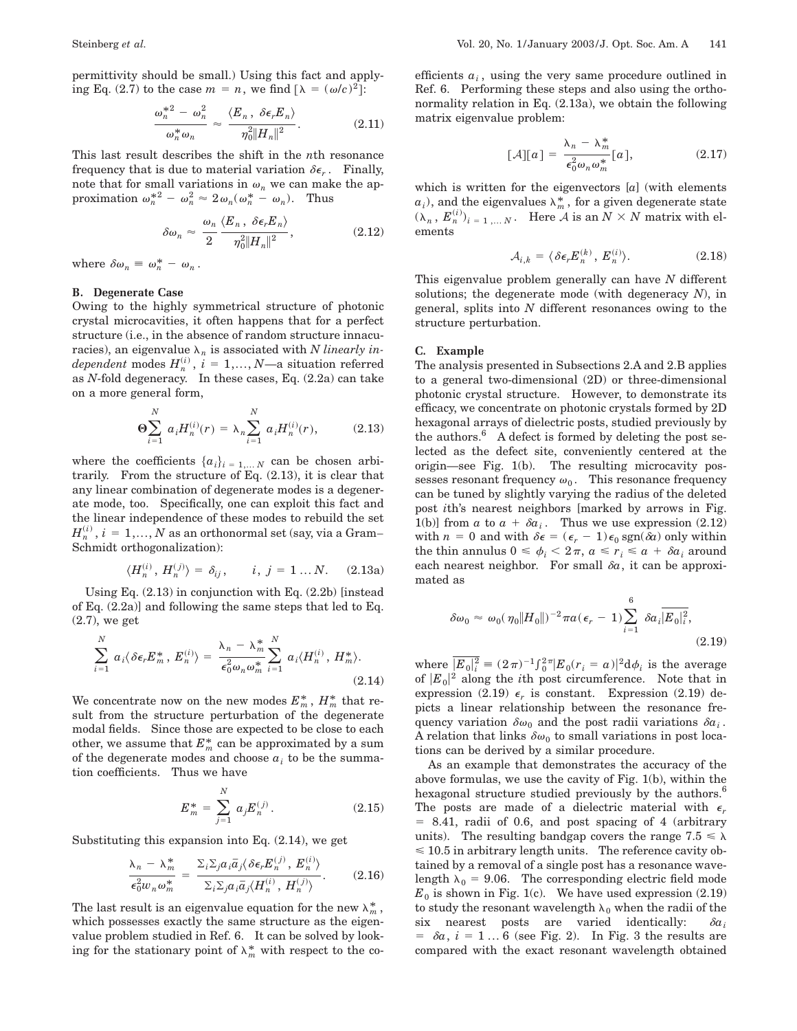permittivity should be small.) Using this fact and applying Eq. (2.7) to the case  $m = n$ , we find  $\lceil \lambda \rceil = (\omega/c)^2$ :

$$
\frac{\omega_n^{*2} - \omega_n^2}{\omega_n^* \omega_n} \approx \frac{\langle E_n, \ \delta \epsilon_r E_n \rangle}{\eta_0^2 ||H_n||^2}.
$$
 (2.11)

This last result describes the shift in the *n*th resonance frequency that is due to material variation  $\delta \epsilon_r$ . Finally, note that for small variations in  $\omega_n$  we can make the approximation  $\omega_n^{*2} - \omega_n^2 \approx 2\omega_n(\omega_n^* - \omega_n)$ . Thus

$$
\delta \omega_n \approx \frac{\omega_n}{2} \frac{\langle E_n, \delta \epsilon_r E_n \rangle}{\eta_0^2 ||H_n||^2}, \qquad (2.12)
$$

where  $\delta \omega_n \equiv \omega_n^* - \omega_n$ .

#### **B. Degenerate Case**

Owing to the highly symmetrical structure of photonic crystal microcavities, it often happens that for a perfect structure (i.e., in the absence of random structure innacuracies), an eigenvalue  $\lambda_n$  is associated with *N linearly in* $dependent$  modes  $H_n^{(i)}$ ,  $i = 1,..., N$ —a situation referred as *N*-fold degeneracy. In these cases, Eq. (2.2a) can take on a more general form,

$$
\Theta \sum_{i=1}^{N} a_i H_n^{(i)}(r) = \lambda_n \sum_{i=1}^{N} a_i H_n^{(i)}(r), \qquad (2.13)
$$

where the coefficients  $\{a_i\}_{i=1,...,N}$  can be chosen arbitrarily. From the structure of Eq. (2.13), it is clear that any linear combination of degenerate modes is a degenerate mode, too. Specifically, one can exploit this fact and the linear independence of these modes to rebuild the set  $H_n^{(i)}$  ,  $i\,=\,1,...,N$  as an orthonormal set (say, via a Gram– Schmidt orthogonalization):

$$
\langle H_n^{(i)}, H_n^{(j)} \rangle = \delta_{ij}, \qquad i, j = 1 \dots N. \tag{2.13a}
$$

Using Eq. (2.13) in conjunction with Eq. (2.2b) [instead of Eq.  $(2.2a)$ ] and following the same steps that led to Eq. (2.7), we get

$$
\sum_{i=1}^{N} a_i \langle \delta \epsilon_r E_m^*, E_n^{(i)} \rangle = \frac{\lambda_n - \lambda_m^*}{\epsilon_0^2 \omega_n \omega_m^*} \sum_{i=1}^{N} a_i \langle H_n^{(i)}, H_m^* \rangle.
$$
\n(2.14)

We concentrate now on the new modes  $E_m^*$  ,  $H_m^*$  that result from the structure perturbation of the degenerate modal fields. Since those are expected to be close to each other, we assume that  $E_m^*$  can be approximated by a sum of the degenerate modes and choose  $a_i$  to be the summation coefficients. Thus we have

*N*

$$
E_m^* = \sum_{j=1}^N a_j E_n^{(j)}.
$$
 (2.15)

Substituting this expansion into Eq. (2.14), we get

$$
\frac{\lambda_n - \lambda_m^*}{\epsilon_0^2 w_n \omega_m^*} = \frac{\Sigma_i \Sigma_j a_i \bar{a}_j \langle \delta \epsilon_r E_n^{(j)}, E_n^{(i)} \rangle}{\Sigma_i \Sigma_j a_i \bar{a}_j \langle H_n^{(i)}, H_n^{(j)} \rangle}.
$$
(2.16)

The last result is an eigenvalue equation for the new  $\lambda_m^*$ , which possesses exactly the same structure as the eigenvalue problem studied in Ref. 6. It can be solved by looking for the stationary point of  $\lambda_m^*$  with respect to the coefficients  $a_i$ , using the very same procedure outlined in Ref. 6. Performing these steps and also using the orthonormality relation in Eq. (2.13a), we obtain the following matrix eigenvalue problem:

$$
[\mathcal{A}][a] = \frac{\lambda_n - \lambda_m^*}{\epsilon_0^2 \omega_n \omega_m^*} [a], \qquad (2.17)
$$

which is written for the eigenvectors [*a*] (with elements  $a_i$ ), and the eigenvalues  $\lambda_m^*$ , for a given degenerate state  $(\lambda_n, E_n^{(i)})_{i=1,\dots N}$ . Here A is an  $N \times N$  matrix with elements

$$
\mathcal{A}_{i,k} = \langle \delta \epsilon_r E_n^{(k)}, E_n^{(i)} \rangle. \tag{2.18}
$$

This eigenvalue problem generally can have *N* different solutions; the degenerate mode (with degeneracy *N*), in general, splits into *N* different resonances owing to the structure perturbation.

#### **C. Example**

The analysis presented in Subsections 2.A and 2.B applies to a general two-dimensional (2D) or three-dimensional photonic crystal structure. However, to demonstrate its efficacy, we concentrate on photonic crystals formed by 2D hexagonal arrays of dielectric posts, studied previously by the authors. $6$  A defect is formed by deleting the post selected as the defect site, conveniently centered at the origin—see Fig. 1(b). The resulting microcavity possesses resonant frequency  $\omega_0$ . This resonance frequency can be tuned by slightly varying the radius of the deleted post *i*th's nearest neighbors [marked by arrows in Fig. 1(b)] from *a* to  $a + \delta a_i$ . Thus we use expression (2.12) with  $n = 0$  and with  $\delta \epsilon = (\epsilon_r - 1) \epsilon_0 \text{ sgn}(\delta a)$  only within the thin annulus  $0 \le \phi_i < 2\pi$ ,  $a \le r_i \le a + \delta a_i$  around each nearest neighbor. For small  $\delta a$ , it can be approximated as

$$
\delta\omega_0 \approx \omega_0(\eta_0 \|H_0\|)^{-2} \pi a(\epsilon_r - 1) \sum_{i=1}^6 \delta a_i \overline{|E_0|_i^2},\tag{2.19}
$$

where  $|\overline{E_0}|_i^2 = (2\pi)^{-1} \int_0^2 \overline{E_0} (r_i = a)|^2 d\phi_i$  is the average of  $|E_0|^2$  along the *i*th post circumference. Note that in expression (2.19)  $\epsilon_r$  is constant. Expression (2.19) depicts a linear relationship between the resonance frequency variation  $\delta \omega_0$  and the post radii variations  $\delta a_i$ . A relation that links  $\delta\omega_0$  to small variations in post locations can be derived by a similar procedure.

As an example that demonstrates the accuracy of the above formulas, we use the cavity of Fig. 1(b), within the hexagonal structure studied previously by the authors.<sup>6</sup> The posts are made of a dielectric material with  $\epsilon_r$  $= 8.41$ , radii of 0.6, and post spacing of 4 (arbitrary units). The resulting bandgap covers the range  $7.5 \le \lambda$  $\leq 10.5$  in arbitrary length units. The reference cavity obtained by a removal of a single post has a resonance wavelength  $\lambda_0 = 9.06$ . The corresponding electric field mode  $E_0$  is shown in Fig. 1(c). We have used expression  $(2.19)$ to study the resonant wavelength  $\lambda_0$  when the radii of the six nearest posts are varied identically:  $\delta a_i$  $= \delta a$ ,  $i = 1...6$  (see Fig. 2). In Fig. 3 the results are compared with the exact resonant wavelength obtained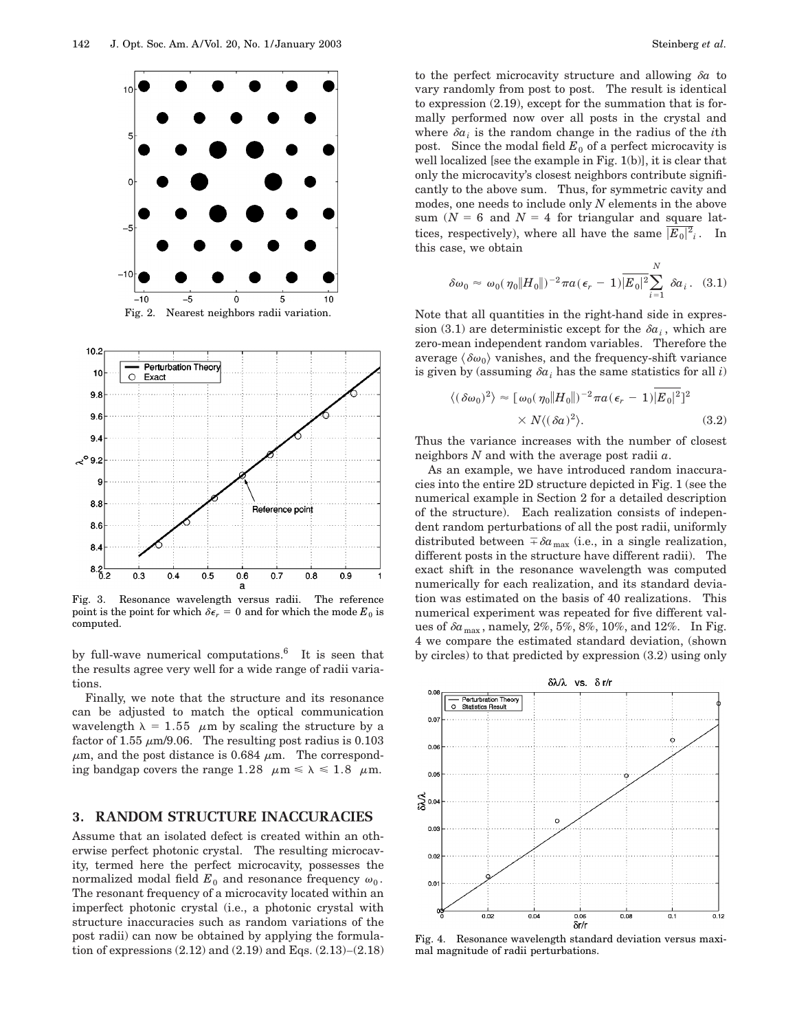

а Fig. 3. Resonance wavelength versus radii. The reference point is the point for which  $\delta \epsilon_r = 0$  and for which the mode  $E_0$  is computed.

0.6

 $0.7$ 

 $0.8$ 

 $0.9$ 

 $0.5$ 

 $8.2$   $-$ 

 $0.3$ 

 $0.4$ 

by full-wave numerical computations. $\delta$  It is seen that the results agree very well for a wide range of radii variations.

Finally, we note that the structure and its resonance can be adjusted to match the optical communication wavelength  $\lambda = 1.55$   $\mu$ m by scaling the structure by a factor of 1.55  $\mu$ m/9.06. The resulting post radius is 0.103  $\mu$ m, and the post distance is 0.684  $\mu$ m. The corresponding bandgap covers the range 1.28  $\mu$ m  $\le \lambda \le 1.8$   $\mu$ m.

## **3. RANDOM STRUCTURE INACCURACIES**

Assume that an isolated defect is created within an otherwise perfect photonic crystal. The resulting microcavity, termed here the perfect microcavity, possesses the normalized modal field  $E_0$  and resonance frequency  $\omega_0$ . The resonant frequency of a microcavity located within an imperfect photonic crystal (i.e., a photonic crystal with structure inaccuracies such as random variations of the post radii) can now be obtained by applying the formulation of expressions (2.12) and (2.19) and Eqs. (2.13)–(2.18) to the perfect microcavity structure and allowing  $\delta a$  to vary randomly from post to post. The result is identical to expression (2.19), except for the summation that is formally performed now over all posts in the crystal and where  $\delta a_i$  is the random change in the radius of the *i*th post. Since the modal field  $E_0$  of a perfect microcavity is well localized [see the example in Fig. 1(b)], it is clear that only the microcavity's closest neighbors contribute significantly to the above sum. Thus, for symmetric cavity and modes, one needs to include only *N* elements in the above sum ( $N = 6$  and  $N = 4$  for triangular and square lattices, respectively), where all have the same  $\overline{|E_0|^2}_i$ . In this case, we obtain

$$
\delta\omega_0 \approx \omega_0(\eta_0 \|H_0\|)^{-2} \pi a(\epsilon_r - 1) \overline{|E_0|^2} \sum_{i=1}^N \delta a_i. \quad (3.1)
$$

Note that all quantities in the right-hand side in expression (3.1) are deterministic except for the  $\delta a_i$ , which are zero-mean independent random variables. Therefore the average  $\langle \delta \omega_0 \rangle$  vanishes, and the frequency-shift variance is given by (assuming  $\delta a_i$  has the same statistics for all *i*)

$$
\langle (\delta \omega_0)^2 \rangle \approx [\omega_0(\eta_0 || H_0 ||)^{-2} \pi a (\epsilon_r - 1) |E_0|^2]^2
$$
  
 
$$
\times N \langle (\delta a)^2 \rangle. \tag{3.2}
$$

Thus the variance increases with the number of closest neighbors *N* and with the average post radii *a*.

As an example, we have introduced random inaccuracies into the entire 2D structure depicted in Fig. 1 (see the numerical example in Section 2 for a detailed description of the structure). Each realization consists of independent random perturbations of all the post radii, uniformly distributed between  $\bar{\phi}a_{\text{max}}$  (i.e., in a single realization, different posts in the structure have different radii). The exact shift in the resonance wavelength was computed numerically for each realization, and its standard deviation was estimated on the basis of 40 realizations. This numerical experiment was repeated for five different values of  $\delta a_{\text{max}}$ , namely, 2%, 5%, 8%, 10%, and 12%. In Fig. 4 we compare the estimated standard deviation, (shown by circles) to that predicted by expression (3.2) using only



Fig. 4. Resonance wavelength standard deviation versus maximal magnitude of radii perturbations.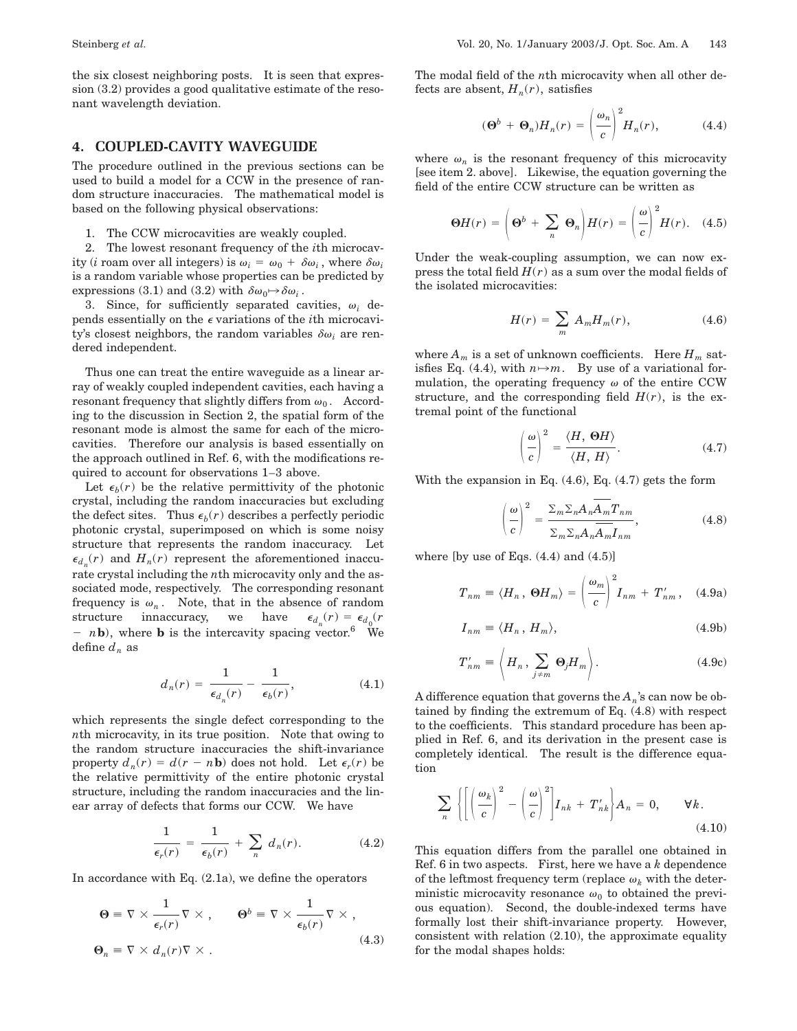the six closest neighboring posts. It is seen that expression (3.2) provides a good qualitative estimate of the resonant wavelength deviation.

### **4. COUPLED-CAVITY WAVEGUIDE**

The procedure outlined in the previous sections can be used to build a model for a CCW in the presence of random structure inaccuracies. The mathematical model is based on the following physical observations:

1. The CCW microcavities are weakly coupled.

2. The lowest resonant frequency of the *i*th microcavity (*i* roam over all integers) is  $\omega_i = \omega_0 + \delta \omega_i$ , where  $\delta \omega_i$ is a random variable whose properties can be predicted by expressions (3.1) and (3.2) with  $\delta \omega_0 \rightarrow \delta \omega_i$ .

3. Since, for sufficiently separated cavities,  $\omega_i$  depends essentially on the  $\epsilon$  variations of the *i*th microcavity's closest neighbors, the random variables  $\delta \omega_i$  are rendered independent.

Thus one can treat the entire waveguide as a linear array of weakly coupled independent cavities, each having a resonant frequency that slightly differs from  $\omega_0$ . According to the discussion in Section 2, the spatial form of the resonant mode is almost the same for each of the microcavities. Therefore our analysis is based essentially on the approach outlined in Ref. 6, with the modifications required to account for observations 1–3 above.

Let  $\epsilon_b(r)$  be the relative permittivity of the photonic crystal, including the random inaccuracies but excluding the defect sites. Thus  $\epsilon_b(r)$  describes a perfectly periodic photonic crystal, superimposed on which is some noisy structure that represents the random inaccuracy. Let  $\epsilon_{d_n}(r)$  and  $H_n(r)$  represent the aforementioned inaccurate crystal including the *n*th microcavity only and the associated mode, respectively. The corresponding resonant frequency is  $\omega_n$ . Note, that in the absence of random structure innaccuracy, we have  $\epsilon_{d_n}(r) = \epsilon_{d_0}(r)$  $- n\mathbf{b}$ ), where **b** is the intercavity spacing vector.<sup>6</sup> We define  $d_n$  as

$$
d_n(r) = \frac{1}{\epsilon_{d_n}(r)} - \frac{1}{\epsilon_b(r)},
$$
\n(4.1)

which represents the single defect corresponding to the *n*th microcavity, in its true position. Note that owing to the random structure inaccuracies the shift-invariance property  $d_n(r) = d(r - n\mathbf{b})$  does not hold. Let  $\epsilon_r(r)$  be the relative permittivity of the entire photonic crystal structure, including the random inaccuracies and the linear array of defects that forms our CCW. We have

$$
\frac{1}{\epsilon_r(r)} = \frac{1}{\epsilon_b(r)} + \sum_n d_n(r). \tag{4.2}
$$

In accordance with Eq.  $(2.1a)$ , we define the operators

$$
\Theta \equiv \nabla \times \frac{1}{\epsilon_r(r)} \nabla \times , \qquad \Theta^b \equiv \nabla \times \frac{1}{\epsilon_b(r)} \nabla \times ,
$$
  

$$
\Theta_n \equiv \nabla \times d_n(r) \nabla \times .
$$
 (4.3)

The modal field of the *n*th microcavity when all other defects are absent,  $H_n(r)$ , satisfies

$$
(\Theta^b + \Theta_n)H_n(r) = \left(\frac{\omega_n}{c}\right)^2 H_n(r), \tag{4.4}
$$

where  $\omega_n$  is the resonant frequency of this microcavity [see item 2. above]. Likewise, the equation governing the field of the entire CCW structure can be written as

$$
\Theta H(r) = \left(\Theta^b + \sum_n \Theta_n\right)H(r) = \left(\frac{\omega}{c}\right)^2 H(r). \quad (4.5)
$$

Under the weak-coupling assumption, we can now express the total field  $H(r)$  as a sum over the modal fields of the isolated microcavities:

$$
H(r) = \sum_{m} A_m H_m(r), \qquad (4.6)
$$

where  $A_m$  is a set of unknown coefficients. Here  $H_m$  satisfies Eq. (4.4), with  $n \rightarrow m$ . By use of a variational formulation, the operating frequency  $\omega$  of the entire CCW structure, and the corresponding field  $H(r)$ , is the extremal point of the functional

$$
\left(\frac{\omega}{c}\right)^2 = \frac{\langle H, \Theta H \rangle}{\langle H, H \rangle}.
$$
\n(4.7)

With the expansion in Eq.  $(4.6)$ , Eq.  $(4.7)$  gets the form

$$
\left(\frac{\omega}{c}\right)^2 = \frac{\sum_m \sum_n A_n \overline{A_m} T_{nm}}{\sum_m \sum_n A_n \overline{A_m} I_{nm}},
$$
\n(4.8)

where  $[$ by use of Eqs.  $(4.4)$  and  $(4.5)$ ]

$$
T_{nm} = \langle H_n, \Theta H_m \rangle = \left(\frac{\omega_m}{c}\right)^2 I_{nm} + T'_{nm}, \quad (4.9a)
$$

$$
I_{nm} = \langle H_n, H_m \rangle, \tag{4.9b}
$$

$$
T'_{nm} = \left\langle H_n, \sum_{j \neq m} \Theta_j H_m \right\rangle. \tag{4.9c}
$$

A difference equation that governs the *An*'s can now be obtained by finding the extremum of Eq. (4.8) with respect to the coefficients. This standard procedure has been applied in Ref. 6, and its derivation in the present case is completely identical. The result is the difference equation

$$
\sum_{n} \left\{ \left[ \left( \frac{\omega_{k}}{c} \right)^{2} - \left( \frac{\omega}{c} \right)^{2} \right] I_{nk} + T'_{nk} \right\} A_{n} = 0, \qquad \forall k.
$$
\n(4.10)

This equation differs from the parallel one obtained in Ref. 6 in two aspects. First, here we have a *k* dependence of the leftmost frequency term (replace  $\omega_k$  with the deterministic microcavity resonance  $\omega_0$  to obtained the previous equation). Second, the double-indexed terms have formally lost their shift-invariance property. However, consistent with relation (2.10), the approximate equality for the modal shapes holds: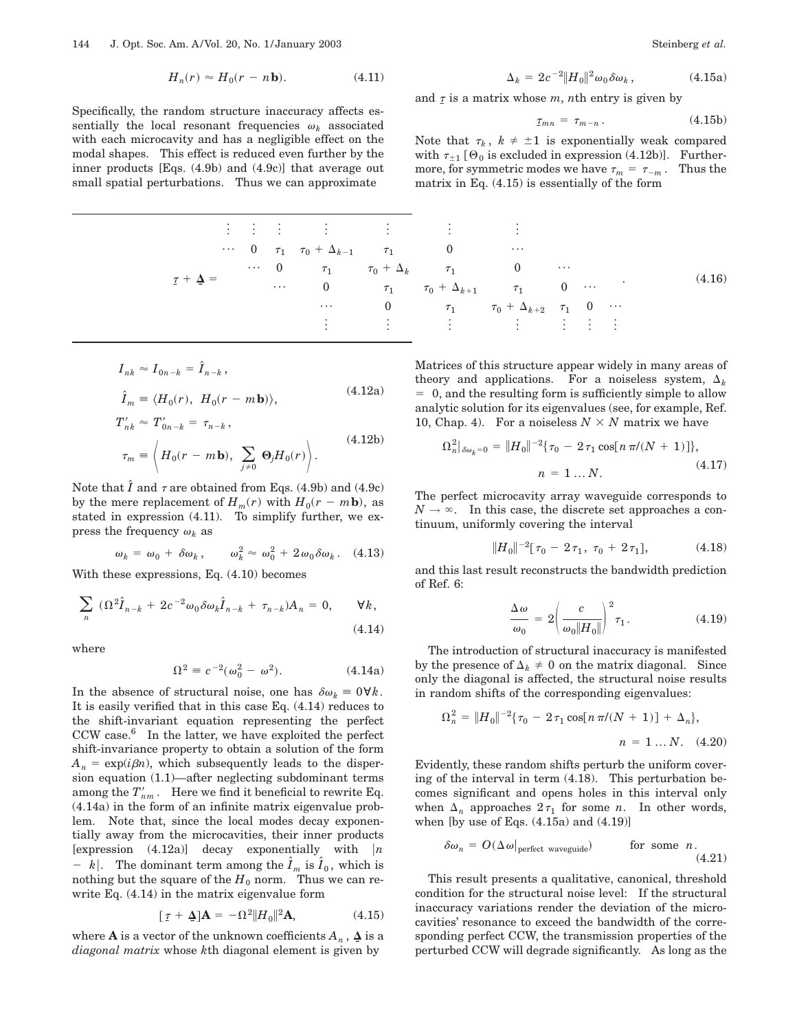$$
H_n(r) \approx H_0(r - n\mathbf{b}).\tag{4.11}
$$

Specifically, the random structure inaccuracy affects essentially the local resonant frequencies  $\omega_k$  associated with each microcavity and has a negligible effect on the modal shapes. This effect is reduced even further by the inner products [Eqs. (4.9b) and (4.9c)] that average out small spatial perturbations. Thus we can approximate

|  |                   |  |         |                                                        | 电子电子 医心包 医心包 医心包 医心包 医子宫                                                                                                                                      |          |  |  |        |
|--|-------------------|--|---------|--------------------------------------------------------|---------------------------------------------------------------------------------------------------------------------------------------------------------------|----------|--|--|--------|
|  |                   |  |         | $\cdots$ 0 $\tau_1$ $\tau_0 + \Delta_{k-1}$ $\tau_1$ 0 |                                                                                                                                                               | $\cdots$ |  |  |        |
|  |                   |  |         |                                                        | $\cdots$ 0 $\tau_1$ $\tau_0 + \Delta_k$ $\tau_1$ 0 $\cdots$                                                                                                   |          |  |  | (4.16) |
|  | $\tau + \Delta =$ |  | $\dots$ |                                                        | 0 $\tau_1$ $\tau_0 + \Delta_{k+1}$ $\tau_1$ 0                                                                                                                 |          |  |  |        |
|  |                   |  |         | $\cdots$                                               | 0 $\tau_1$ $\tau_0$ + $\Delta_{k+2}$ $\tau_1$ 0 $\cdots$                                                                                                      |          |  |  |        |
|  |                   |  |         |                                                        | $\frac{1}{2}$ , $\frac{1}{2}$ , $\frac{1}{2}$ , $\frac{1}{2}$ , $\frac{1}{2}$ , $\frac{1}{2}$ , $\frac{1}{2}$ , $\frac{1}{2}$ , $\frac{1}{2}$ , $\frac{1}{2}$ |          |  |  |        |
|  |                   |  |         |                                                        |                                                                                                                                                               |          |  |  |        |

$$
I_{nk} \approx I_{0n-k} = \hat{I}_{n-k},
$$
  

$$
\hat{I}_m \equiv \langle H_0(r), H_0(r - m\mathbf{b}) \rangle,
$$
 (4.12a)

$$
T'_{nk} \approx T'_{0n-k} = \tau_{n-k},
$$
  
\n
$$
\tau_m \equiv \left\langle H_0(r - m\mathbf{b}), \sum_{j\neq 0} \Theta_j H_0(r) \right\rangle.
$$
\n(4.12b)

Note that  $\hat{I}$  and  $\tau$  are obtained from Eqs. (4.9b) and (4.9c) by the mere replacement of  $H_m(r)$  with  $H_0(r - m\mathbf{b})$ , as stated in expression (4.11). To simplify further, we express the frequency  $\omega_k$  as

$$
\omega_k = \omega_0 + \delta \omega_k, \qquad \omega_k^2 \approx \omega_0^2 + 2 \omega_0 \delta \omega_k. \quad (4.13)
$$

With these expressions, Eq. (4.10) becomes

$$
\sum_{n} (\Omega^2 \hat{I}_{n-k} + 2c^{-2} \omega_0 \delta \omega_k \hat{I}_{n-k} + \tau_{n-k}) A_n = 0, \quad \forall k,
$$
\n(4.14)

where

$$
\Omega^2 = c^{-2}(\omega_0^2 - \omega^2). \tag{4.14a}
$$

In the absence of structural noise, one has  $\delta \omega_k = 0 \forall k$ . It is easily verified that in this case Eq. (4.14) reduces to the shift-invariant equation representing the perfect CCW case.<sup>6</sup> In the latter, we have exploited the perfect shift-invariance property to obtain a solution of the form  $A_n = \exp(i\beta n)$ , which subsequently leads to the dispersion equation (1.1)—after neglecting subdominant terms among the  $T'_{nm}$ . Here we find it beneficial to rewrite Eq. (4.14a) in the form of an infinite matrix eigenvalue problem. Note that, since the local modes decay exponentially away from the microcavities, their inner products [expression  $(4.12a)$ ] decay exponentially with  $|n|$  $- k$ . The dominant term among the  $\hat{I}_m$  is  $\hat{I}_0$ , which is nothing but the square of the  $H_0$  norm. Thus we can rewrite Eq. (4.14) in the matrix eigenvalue form

$$
[\tau + \mathbf{\Delta}]\mathbf{A} = -\Omega^2 \|H_0\|^2 \mathbf{A},\tag{4.15}
$$

where **A** is a vector of the unknown coefficients  $A_n$ ,  $\Delta$  is a *diagonal matrix* whose *k*th diagonal element is given by

$$
\Delta_k = 2c^{-2} \|H_0\|^2 \omega_0 \delta \omega_k , \qquad (4.15a)
$$

and  $\tau$  is a matrix whose  $m$ ,  $n$ th entry is given by

$$
\tau_{mn} = \tau_{m-n} \,. \tag{4.15b}
$$

Note that  $\tau_k$ ,  $k \neq \pm 1$  is exponentially weak compared with  $\tau_{\pm 1}$  [ $\Theta_0$  is excluded in expression (4.12b)]. Furthermore, for symmetric modes we have  $\tau_m = \tau_{-m}$ . Thus the matrix in Eq. (4.15) is essentially of the form

. (4.16)

Matrices of this structure appear widely in many areas of theory and applications. For a noiseless system,  $\Delta_k$  $= 0$ , and the resulting form is sufficiently simple to allow analytic solution for its eigenvalues (see, for example, Ref. 10, Chap. 4). For a noiseless  $N \times N$  matrix we have

$$
\Omega_n^2|_{\delta\omega_k=0} = \|H_0\|^{-2} \{\tau_0 - 2\tau_1 \cos[n\pi/(N+1)]\},
$$
  
\n
$$
n = 1 ... N.
$$
\n(4.17)

The perfect microcavity array waveguide corresponds to  $N \to \infty$ . In this case, the discrete set approaches a continuum, uniformly covering the interval

$$
||H_0||^{-2}[\tau_0 - 2\tau_1, \tau_0 + 2\tau_1], \qquad (4.18)
$$

and this last result reconstructs the bandwidth prediction of Ref. 6:

$$
\frac{\Delta \omega}{\omega_0} = 2 \left( \frac{c}{\omega_0 \|H_0\|} \right)^2 \tau_1.
$$
\n(4.19)

The introduction of structural inaccuracy is manifested by the presence of  $\Delta_k \neq 0$  on the matrix diagonal. Since only the diagonal is affected, the structural noise results in random shifts of the corresponding eigenvalues:

$$
\Omega_n^2 = ||H_0||^{-2} \{\tau_0 - 2\tau_1 \cos[n\pi/(N+1)] + \Delta_n\},
$$
  
\n
$$
n = 1 ... N. \quad (4.20)
$$

Evidently, these random shifts perturb the uniform covering of the interval in term (4.18). This perturbation becomes significant and opens holes in this interval only when  $\Delta_n$  approaches  $2\tau_1$  for some *n*. In other words, when [by use of Eqs. (4.15a) and (4.19)]

$$
\delta \omega_n = O(\Delta \omega)_{\text{perfect waveguide}} \quad \text{for some } n. \tag{4.21}
$$

This result presents a qualitative, canonical, threshold condition for the structural noise level: If the structural inaccuracy variations render the deviation of the microcavities' resonance to exceed the bandwidth of the corresponding perfect CCW, the transmission properties of the perturbed CCW will degrade significantly. As long as the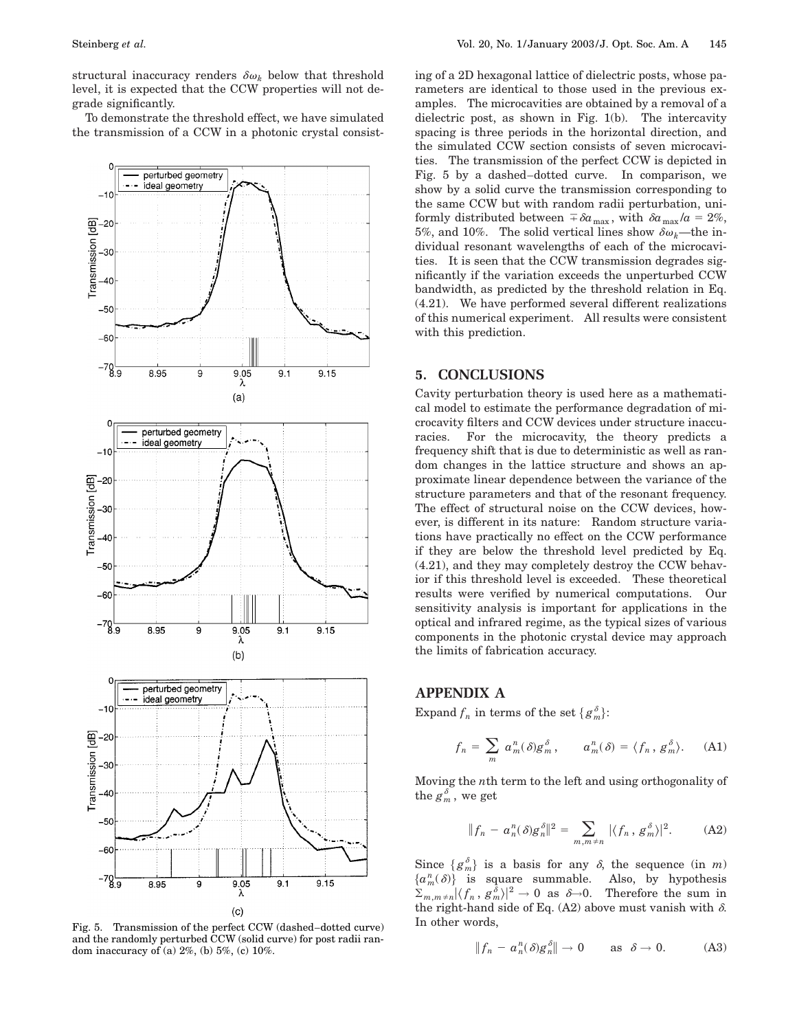structural inaccuracy renders  $\delta \omega_k$  below that threshold level, it is expected that the CCW properties will not degrade significantly.

To demonstrate the threshold effect, we have simulated the transmission of a CCW in a photonic crystal consist-



Fig. 5. Transmission of the perfect CCW (dashed–dotted curve) and the randomly perturbed CCW (solid curve) for post radii random inaccuracy of (a) 2%, (b) 5%, (c) 10%.

ing of a 2D hexagonal lattice of dielectric posts, whose parameters are identical to those used in the previous examples. The microcavities are obtained by a removal of a dielectric post, as shown in Fig. 1(b). The intercavity spacing is three periods in the horizontal direction, and the simulated CCW section consists of seven microcavities. The transmission of the perfect CCW is depicted in Fig. 5 by a dashed–dotted curve. In comparison, we show by a solid curve the transmission corresponding to the same CCW but with random radii perturbation, uniformly distributed between  $\bar{\phi}a_{\text{max}}$ , with  $\delta a_{\text{max}}/a = 2\%$ , 5%, and 10%. The solid vertical lines show  $\delta \omega_k$ —the individual resonant wavelengths of each of the microcavities. It is seen that the CCW transmission degrades significantly if the variation exceeds the unperturbed CCW bandwidth, as predicted by the threshold relation in Eq. (4.21). We have performed several different realizations of this numerical experiment. All results were consistent with this prediction.

## **5. CONCLUSIONS**

Cavity perturbation theory is used here as a mathematical model to estimate the performance degradation of microcavity filters and CCW devices under structure inaccuracies. For the microcavity, the theory predicts a frequency shift that is due to deterministic as well as random changes in the lattice structure and shows an approximate linear dependence between the variance of the structure parameters and that of the resonant frequency. The effect of structural noise on the CCW devices, however, is different in its nature: Random structure variations have practically no effect on the CCW performance if they are below the threshold level predicted by Eq. (4.21), and they may completely destroy the CCW behavior if this threshold level is exceeded. These theoretical results were verified by numerical computations. Our sensitivity analysis is important for applications in the optical and infrared regime, as the typical sizes of various components in the photonic crystal device may approach the limits of fabrication accuracy.

## **APPENDIX A**

Expand  $f_n$  in terms of the set  $\{g_m^{\delta}\}$ :

$$
f_n = \sum_m a_m^n(\delta) g_m^{\delta}, \qquad a_m^n(\delta) = \langle f_n, g_m^{\delta} \rangle. \tag{A1}
$$

Moving the *n*th term to the left and using orthogonality of the  $g_m^{\delta}$  , we get

$$
||f_n - a_n^n(\delta)g_n^{\delta}||^2 = \sum_{m,m \neq n} |\langle f_n, g_m^{\delta} \rangle|^2.
$$
 (A2)

Since  ${g_m^{\delta}}$  is a basis for any  $\delta$ , the sequence (in *m*)  ${a<sub>m</sub><sup>n</sup>(\delta)}$  is square summable. Also, by hypothesis  $\sum_{m,m\neq n} |\langle f_n, g_m^{\delta}\rangle|^2 \to 0$  as  $\delta \to 0$ . Therefore the sum in the right-hand side of Eq. (A2) above must vanish with  $\delta$ . In other words,

$$
||f_n - a_n^n(\delta)g_n^{\delta}|| \to 0 \quad \text{as } \delta \to 0. \quad (A3)
$$